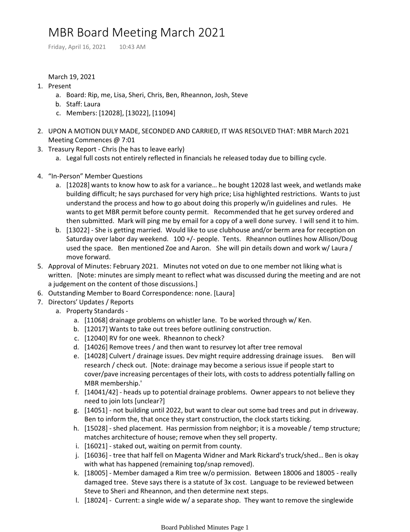## MBR Board Meeting March 2021

Friday, April 16, 2021 10:43 AM

## March 19, 2021

- 1. Present
	- a. Board: Rip, me, Lisa, Sheri, Chris, Ben, Rheannon, Josh, Steve
	- b. Staff: Laura
	- c. Members: [12028], [13022], [11094]
- UPON A MOTION DULY MADE, SECONDED AND CARRIED, IT WAS RESOLVED THAT: MBR March 2021 2. Meeting Commences @ 7:01
- 3. Treasury Report Chris (he has to leave early)
	- a. Legal full costs not entirely reflected in financials he released today due to billing cycle.
- 4. "In-Person" Member Questions
	- a. [12028] wants to know how to ask for a variance... he bought 12028 last week, and wetlands make building difficult; he says purchased for very high price; Lisa highlighted restrictions. Wants to just understand the process and how to go about doing this properly w/in guidelines and rules. He wants to get MBR permit before county permit. Recommended that he get survey ordered and then submitted. Mark will ping me by email for a copy of a well done survey. I will send it to him.
	- b. [13022] She is getting married. Would like to use clubhouse and/or berm area for reception on Saturday over labor day weekend. 100 +/- people. Tents. Rheannon outlines how Allison/Doug used the space. Ben mentioned Zoe and Aaron. She will pin details down and work w/ Laura / move forward.
- 5. Approval of Minutes: February 2021. Minutes not voted on due to one member not liking what is written. [Note: minutes are simply meant to reflect what was discussed during the meeting and are not a judgement on the content of those discussions.]
- 6. Outstanding Member to Board Correspondence: none. [Laura]
- 7. Directors' Updates / Reports
	- a. Property Standards
		- a. [11068] drainage problems on whistler lane. To be worked through w/ Ken.
		- b. [12017] Wants to take out trees before outlining construction.
		- c. [12040] RV for one week. Rheannon to check?
		- d. [14026] Remove trees / and then want to resurvey lot after tree removal
		- e. [14028] Culvert / drainage issues. Dev might require addressing drainage issues. Ben will research / check out. [Note: drainage may become a serious issue if people start to cover/pave increasing percentages of their lots, with costs to address potentially falling on MBR membership.'
		- f. [14041/42] heads up to potential drainage problems. Owner appears to not believe they need to join lots [unclear?]
		- g. [14051] not building until 2022, but want to clear out some bad trees and put in driveway. Ben to inform the, that once they start construction, the clock starts ticking.
		- h. [15028] shed placement. Has permission from neighbor; it is a moveable / temp structure; matches architecture of house; remove when they sell property.
		- i. [16021] staked out, waiting on permit from county.
		- j. [16036] tree that half fell on Magenta Widner and Mark Rickard's truck/shed... Ben is okay with what has happened (remaining top/snap removed).
		- k. [18005] Member damaged a Rim tree w/o permission. Between 18006 and 18005 really damaged tree. Steve says there is a statute of 3x cost. Language to be reviewed between Steve to Sheri and Rheannon, and then determine next steps.
		- l. [18024] Current: a single wide w/ a separate shop. They want to remove the singlewide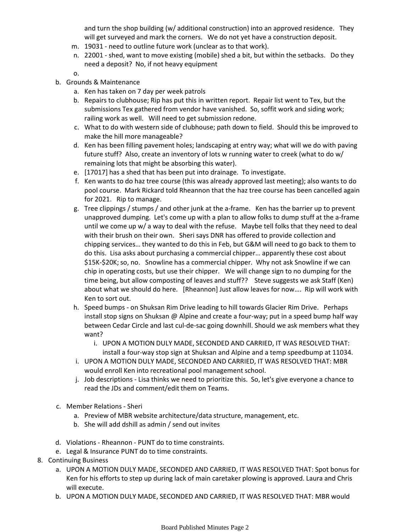and turn the shop building (w/ additional construction) into an approved residence. They will get surveyed and mark the corners. We do not yet have a construction deposit.

- m. 19031 need to outline future work (unclear as to that work).
- 22001 shed, want to move existing (mobile) shed a bit, but within the setbacks. Do they n. need a deposit? No, if not heavy equipment
- o.
- b. Grounds & Maintenance
	- a. Ken has taken on 7 day per week patrols
	- b. Repairs to clubhouse; Rip has put this in written report. Repair list went to Tex, but the submissions Tex gathered from vendor have vanished. So, soffit work and siding work; railing work as well. Will need to get submission redone.
	- What to do with western side of clubhouse; path down to field. Should this be improved to c. make the hill more manageable?
	- d. Ken has been filling pavement holes; landscaping at entry way; what will we do with paving future stuff? Also, create an inventory of lots w running water to creek (what to do w/ remaining lots that might be absorbing this water).
	- e. [17017] has a shed that has been put into drainage. To investigate.
	- f. Ken wants to do haz tree course (this was already approved last meeting); also wants to do pool course. Mark Rickard told Rheannon that the haz tree course has been cancelled again for 2021. Rip to manage.
	- Tree clippings / stumps / and other junk at the a-frame. Ken has the barrier up to prevent g. unapproved dumping. Let's come up with a plan to allow folks to dump stuff at the a-frame until we come up w/ a way to deal with the refuse. Maybe tell folks that they need to deal with their brush on their own. Sheri says DNR has offered to provide collection and chipping services… they wanted to do this in Feb, but G&M will need to go back to them to do this. Lisa asks about purchasing a commercial chipper… apparently these cost about \$15K-\$20K; so, no. Snowline has a commercial chipper. Why not ask Snowline if we can chip in operating costs, but use their chipper. We will change sign to no dumping for the time being, but allow composting of leaves and stuff?? Steve suggests we ask Staff (Ken) about what we should do here. [Rheannon] Just allow leaves for now…. Rip will work with Ken to sort out.
	- h. Speed bumps on Shuksan Rim Drive leading to hill towards Glacier Rim Drive. Perhaps install stop signs on Shuksan @ Alpine and create a four-way; put in a speed bump half way between Cedar Circle and last cul-de-sac going downhill. Should we ask members what they want?
		- UPON A MOTION DULY MADE, SECONDED AND CARRIED, IT WAS RESOLVED THAT: i. install a four-way stop sign at Shuksan and Alpine and a temp speedbump at 11034.
	- i. UPON A MOTION DULY MADE, SECONDED AND CARRIED, IT WAS RESOLVED THAT: MBR would enroll Ken into recreational pool management school.
	- j. Job descriptions Lisa thinks we need to prioritize this. So, let's give everyone a chance to read the JDs and comment/edit them on Teams.
- c. Member Relations Sheri
	- a. Preview of MBR website architecture/data structure, management, etc.
	- b. She will add dshill as admin / send out invites
- d. Violations Rheannon PUNT do to time constraints.
- e. Legal & Insurance PUNT do to time constraints.
- 8. Continuing Business
	- a. UPON A MOTION DULY MADE, SECONDED AND CARRIED, IT WAS RESOLVED THAT: Spot bonus for Ken for his efforts to step up during lack of main caretaker plowing is approved. Laura and Chris will execute.
	- UPON A MOTION DULY MADE, SECONDED AND CARRIED, IT WAS RESOLVED THAT: MBR would b.